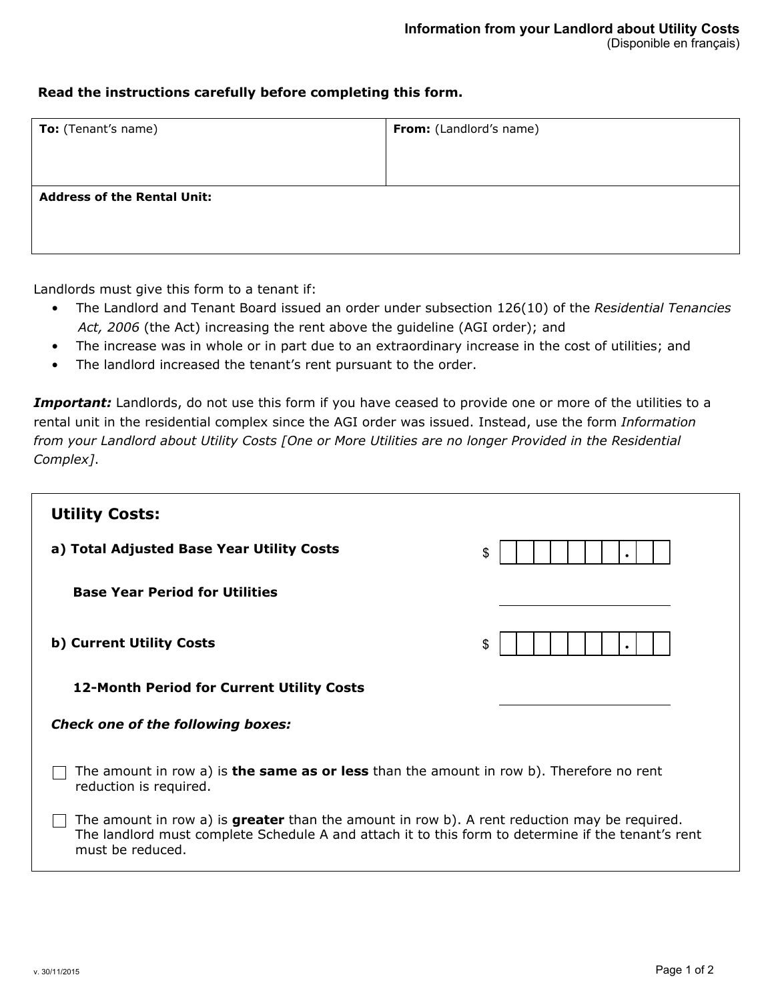## **Read the instructions carefully before completing this form.**

| <b>To:</b> (Tenant's name)         | From: (Landlord's name) |  |
|------------------------------------|-------------------------|--|
|                                    |                         |  |
|                                    |                         |  |
| <b>Address of the Rental Unit:</b> |                         |  |
|                                    |                         |  |

Landlords must give this form to a tenant if:

- The Landlord and Tenant Board issued an order under subsection 126(10) of the *Residential Tenancies Act, 2006* (the Act) increasing the rent above the guideline (AGI order); and
- The increase was in whole or in part due to an extraordinary increase in the cost of utilities; and
- The landlord increased the tenant's rent pursuant to the order.

Important: Landlords, do not use this form if you have ceased to provide one or more of the utilities to a rental unit in the residential complex since the AGI order was issued. Instead, use the form *Information from your Landlord about Utility Costs [One or More Utilities are no longer Provided in the Residential Complex]*.

| <b>Utility Costs:</b>                                                                                                                                                                                                         |    |  |  |
|-------------------------------------------------------------------------------------------------------------------------------------------------------------------------------------------------------------------------------|----|--|--|
| a) Total Adjusted Base Year Utility Costs                                                                                                                                                                                     | \$ |  |  |
| <b>Base Year Period for Utilities</b>                                                                                                                                                                                         |    |  |  |
| b) Current Utility Costs                                                                                                                                                                                                      | \$ |  |  |
| <b>12-Month Period for Current Utility Costs</b>                                                                                                                                                                              |    |  |  |
| <b>Check one of the following boxes:</b>                                                                                                                                                                                      |    |  |  |
| The amount in row a) is <b>the same as or less</b> than the amount in row b). Therefore no rent<br>reduction is required.                                                                                                     |    |  |  |
| The amount in row a) is <b>greater</b> than the amount in row b). A rent reduction may be required.<br>The landlord must complete Schedule A and attach it to this form to determine if the tenant's rent<br>must be reduced. |    |  |  |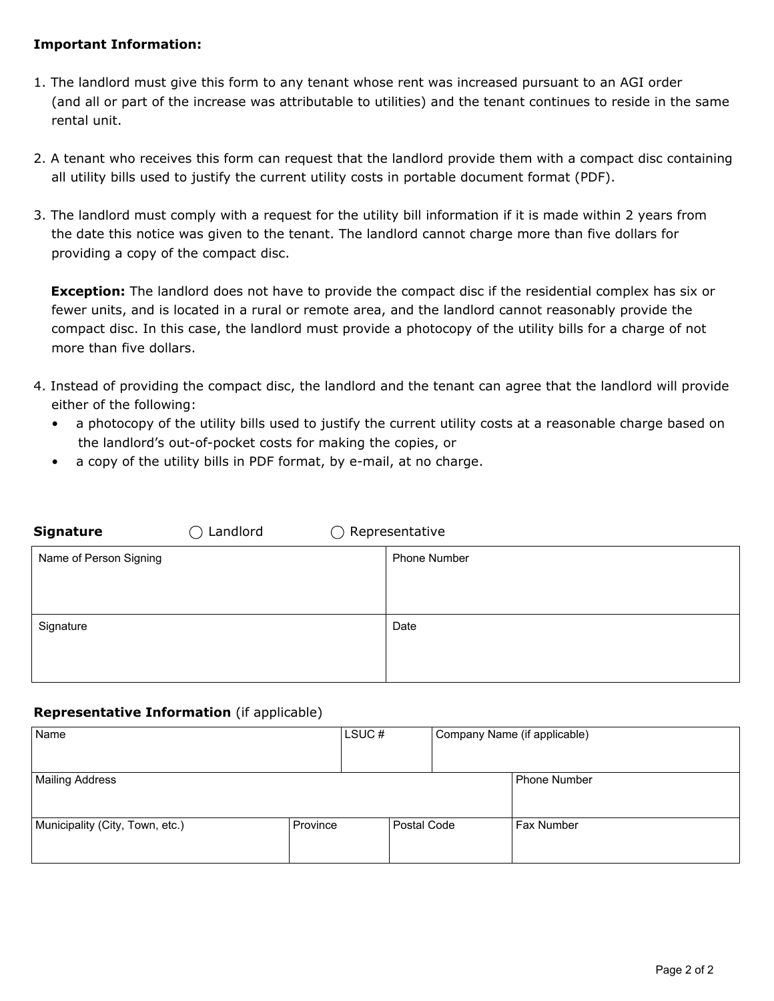## **Important Information:**

- 1. The landlord must give this form to any tenant whose rent was increased pursuant to an AGI order (and all or part of the increase was attributable to utilities) and the tenant continues to reside in the same rental unit.
- 2. A tenant who receives this form can request that the landlord provide them with a compact disc containing all utility bills used to justify the current utility costs in portable document format (PDF).
- 3. The landlord must comply with a request for the utility bill information if it is made within 2 years from the date this notice was given to the tenant. The landlord cannot charge more than five dollars for providing a copy of the compact disc.

**Exception:** The landlord does not have to provide the compact disc if the residential complex has six or fewer units, and is located in a rural or remote area, and the landlord cannot reasonably provide the compact disc. In this case, the landlord must provide a photocopy of the utility bills for a charge of not more than five dollars.

- 4. Instead of providing the compact disc, the landlord and the tenant can agree that the landlord will provide either of the following:
	- a photocopy of the utility bills used to justify the current utility costs at a reasonable charge based on the landlord's out-of-pocket costs for making the copies, or
	- a copy of the utility bills in PDF format, by e-mail, at no charge.

| <b>Signature</b>       | Landlord<br>$\rightarrow$ | $\bigcirc$ Representative |
|------------------------|---------------------------|---------------------------|
| Name of Person Signing |                           | <b>Phone Number</b>       |
| Signature              |                           | Date                      |

## **Representative Information** (if applicable)

| Name                            |          | LSUC# |               | Company Name (if applicable) |
|---------------------------------|----------|-------|---------------|------------------------------|
|                                 |          |       |               |                              |
| Mailing Address                 |          |       |               | l Phone Number               |
|                                 |          |       |               |                              |
| Municipality (City, Town, etc.) | Province |       | l Postal Code | l Fax Number                 |
|                                 |          |       |               |                              |